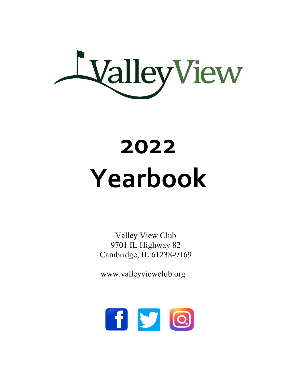

# **2022 Yearbook**

Valley View Club 9701 IL Highway 82 Cambridge, IL 61238-9169

www.valleyviewclub.org

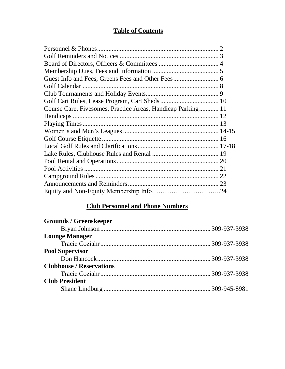## **Table of Contents**

| Course Care, Fivesomes, Practice Areas, Handicap Parking 11 |  |
|-------------------------------------------------------------|--|
|                                                             |  |
|                                                             |  |
|                                                             |  |
|                                                             |  |
|                                                             |  |
|                                                             |  |
|                                                             |  |
|                                                             |  |
|                                                             |  |
|                                                             |  |
|                                                             |  |
|                                                             |  |

## **Club Personnel and Phone Numbers**

| <b>Grounds / Greenskeeper</b>   |  |
|---------------------------------|--|
|                                 |  |
| <b>Lounge Manager</b>           |  |
|                                 |  |
| <b>Pool Supervisor</b>          |  |
|                                 |  |
| <b>Clubhouse / Reservations</b> |  |
|                                 |  |
| <b>Club President</b>           |  |
|                                 |  |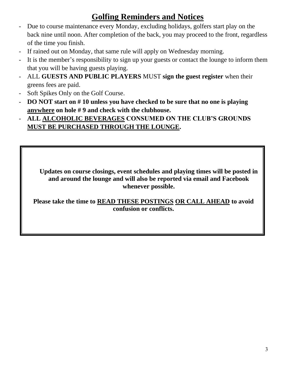## **Golfing Reminders and Notices**

- Due to course maintenance every Monday, excluding holidays, golfers start play on the back nine until noon. After completion of the back, you may proceed to the front, regardless of the time you finish.
- If rained out on Monday, that same rule will apply on Wednesday morning.
- It is the member's responsibility to sign up your guests or contact the lounge to inform them that you will be having guests playing.
- ALL **GUESTS AND PUBLIC PLAYERS** MUST **sign the guest register** when their greens fees are paid.
- Soft Spikes Only on the Golf Course.
- **DO NOT start on # 10 unless you have checked to be sure that no one is playing anywhere on hole # 9 and check with the clubhouse.**
- **ALL ALCOHOLIC BEVERAGES CONSUMED ON THE CLUB'S GROUNDS MUST BE PURCHASED THROUGH THE LOUNGE.**

**Updates on course closings, event schedules and playing times will be posted in and around the lounge and will also be reported via email and Facebook whenever possible.**

**Please take the time to READ THESE POSTINGS OR CALL AHEAD to avoid confusion or conflicts.**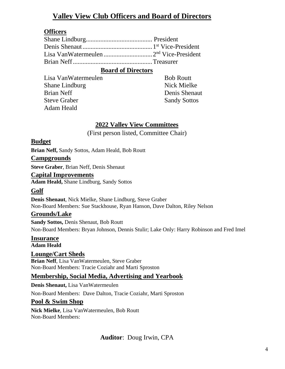## **Valley View Club Officers and Board of Directors**

#### **Officers**

#### **Board of Directors**

Lisa VanWatermeulen Shane Lindburg Brian Neff Steve Graber Adam Heald

Bob Routt Nick Mielke Denis Shenaut Sandy Sottos

#### **2022 Valley View Committees**

(First person listed, Committee Chair)

#### **Budget**

**Brian Neff,** Sandy Sottos, Adam Heald, Bob Routt

#### **Campgrounds**

**Steve Graber**, Brian Neff, Denis Shenaut

#### **Capital Improvements**

**Adam Heald,** Shane Lindburg, Sandy Sottos

#### **Golf**

**Denis Shenaut**, Nick Mielke, Shane Lindburg, Steve Graber Non-Board Members: Sue Stackhouse, Ryan Hanson, Dave Dalton, Riley Nelson

#### **Grounds/Lake**

**Sandy Sottos,** Denis Shenaut, Bob Routt Non-Board Members: Bryan Johnson, Dennis Stulir; Lake Only: Harry Robinson and Fred Imel

**Insurance Adam Heald**

#### **Lounge/Cart Sheds**

 **Brian Neff**, Lisa VanWatermeulen, Steve Graber Non-Board Members: Tracie Coziahr and Marti Sproston

#### **Membership, Social Media, Advertising and Yearbook**

**Denis Shenaut,** Lisa VanWatermeulen

Non-Board Members: Dave Dalton, Tracie Coziahr, Marti Sproston

#### **Pool & Swim Shop**

**Nick Mielke**, Lisa VanWatermeulen, Bob Routt Non-Board Members:

**Auditor**: Doug Irwin, CPA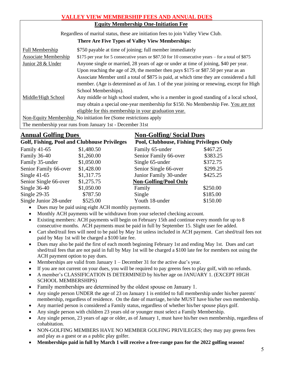#### **VALLEY VIEW MEMBERSHIP FEES AND ANNUAL DUES Equity Membership One-Initiation Fee** Regardless of marital status, these are initiation fees to join Valley View Club.  **There Are Five Types of Valley View Memberships:** Full Membership  $$750$  payable at time of joining; full member immediately Associate Membership \$175 per year for 5 consecutive years or \$87.50 for 10 consecutive years – for a total of \$875 Junior 28 & Under Anyone single or married, 28 years of age or under at time of joining, \$40 per year. Upon reaching the age of 29, the member then pays \$175 or \$87.50 per year as an Associate Member until a total of \$875 is paid, at which time they are considered a full member. (Age is determined as of Jan. 1 of the year joining or renewing, except for High School Memberships). Middle/High School Any middle or high school student, who is a member in good standing of a local school, may obtain a special one-year membership for \$150. No Membership Fee. You are not eligible for this membership in your graduation year. Non-Equity Membership No initiation fee (Some restrictions apply The membership year runs from January 1st - December 31st

#### **Annual Golfing Dues Non-Golfing/ Social Dues**

| $\frac{1}{2}$                                       |            |                                                 |          |
|-----------------------------------------------------|------------|-------------------------------------------------|----------|
| <b>Golf, Fishing, Pool and Clubhouse Privileges</b> |            | <b>Pool, Clubhouse, Fishing Privileges Only</b> |          |
| Family 41-65                                        | \$1,480.50 | Family 65-under                                 | \$467.25 |
| Family 36-40                                        | \$1,260.00 | Senior Family 66-over                           | \$383.25 |
| Family 35-under                                     | \$1,050.00 | Single 65-under                                 | \$372.75 |
| Senior Family 66-over                               | \$1,428.00 | Senior Single 66-over                           | \$299.25 |
| Single $41-65$                                      | \$1,317.75 | Junior Family 30-under                          | \$425.25 |
| Senior Single 66-over                               | \$1,275.75 | <b>Non-Golfing/Pool Only</b>                    |          |
| Single $36-40$                                      | \$1,050.00 | Family                                          | \$250.00 |
| Single $29-35$                                      | \$787.50   | Single                                          | \$185.00 |
| Single Junior 28-under                              | \$525.00   | Youth 18-under                                  | \$150.00 |

- Dues may be paid using eight ACH monthly payments.
- Monthly ACH payments will be withdrawn from your selected checking account.
- Existing members: ACH payments will begin on February 15th and continue every month for up to 8 consecutive months. ACH payments must be paid in full by September 15. Slight user fee added.
- Cart shed/trail fees will need to be paid by May 1st unless included in ACH payment. Cart shed/trail fees not paid by May 1st will be charged a \$100 late fee.
- Dues may also be paid the first of each month beginning February 1st and ending May 1st. Dues and cart shed/trail fees that are not paid in full by May 1st will be charged a \$100 late fee for members not using the ACH payment option to pay dues.
- Memberships are valid from January 1 December 31 for the active due's year.
- If you are not current on your dues, you will be required to pay greens fees to play golf, with no refunds.
- A member's CLASSIFICATION IS DETERMINED by his/her age on JANUARY 1. (EXCEPT HIGH SCHOOL MEMBERSHIPS)
- Family memberships are determined by the oldest spouse on January 1.
- Any single person UNDER the age of 23 on January 1 is entitled to full membership under his/her parents' membership, regardless of residence. On the date of marriage, he/she MUST have his/her own membership.
- Any married person is considered a Family status, regardless of whether his/her spouse plays golf.
- Any single person with children 23 years old or younger must select a Family Membership.
- Any single person, 23 years of age or older, as of January 1, must have his/her own membership, regardless of cohabitation.
- NON-GOLFING MEMBERS HAVE NO MEMBER GOLFING PRIVILEGES; they may pay greens fees and play as a guest or as a public play golfer.
- **Memberships paid in full by March 1 will receive a free-range pass for the 2022 golfing season!**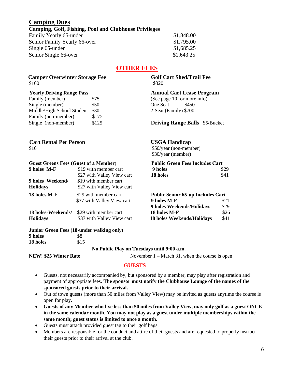#### **Camping Dues**

#### **Camping, Golf, Fishing, Pool and Clubhouse Privileges**

Family Yearly 65-under \$1,848.00 Senior Family Yearly 66-over \$1,795.00 Single  $65$ -under  $$1,685.25$ Senior Single 66-over \$1,643.25

#### **OTHER FEES**

#### **Camper Overwinter Storage Fee** Golf Cart Shed/Trail Fee  $$100$  \$320

| Family (member)            | \$75  |
|----------------------------|-------|
| Single (member)            | \$50  |
| Middle/High School Student | \$30  |
| Family (non-member)        | \$175 |
| Single (non-member)        | \$125 |
|                            |       |

 **Yearly Driving Range Pass Annual Cart Lease Program** (See page 10 for more info) One Seat \$450 2-Seat (Family) \$700

**Driving Range Balls** \$5/Bucket

\$30/year (member)

#### **Cart Rental Per Person USGA Handicap**  $$10$  \$50/year (non-member)

#### **Guest Greens Fees (Guest of a Member) Public Green Fees Includes Cart**

| 9 holes M-F        | \$19 with member cart      | 9 holes                                  | \$29 |
|--------------------|----------------------------|------------------------------------------|------|
|                    | \$27 with Valley View cart | 18 holes                                 | \$41 |
| 9 holes Weekend/   | \$19 with member cart      |                                          |      |
| <b>Holidays</b>    | \$27 with Valley View cart |                                          |      |
| 18 holes M-F       | \$29 with member cart      | <b>Public Senior 65-up Includes Cart</b> |      |
|                    | \$37 with Valley View cart | 9 holes M-F                              | \$21 |
|                    |                            | 9 holes Weekends/Holidays                | \$29 |
| 18 holes-Weekends/ | \$29 with member cart      | 18 holes M-F                             | \$26 |
| <b>Holidays</b>    | \$37 with Valley View cart | 18 holes Weekends/Holidays               | \$41 |

#### **Junior Green Fees (18-under walking only) 9 holes** \$8

**18 holes** \$15  **No Public Play on Tuesdays until 9:00 a.m.**

**NEW! \$25 Winter Rate** November 1 – March 31, when the course is open

#### **GUESTS**

- Guests, not necessarily accompanied by, but sponsored by a member, may play after registration and payment of appropriate fees. **The sponsor must notify the Clubhouse Lounge of the names of the sponsored guests prior to their arrival.**
- Out of town guests (more than 50 miles from Valley View) may be invited as guests anytime the course is open for play.
- **Guests of any Member who live less than 50 miles from Valley View, may only golf as a guest ONCE in the same calendar month. You may not play as a guest under multiple memberships within the same month; guest status is limited to once a month.**
- Guests must attach provided guest tag to their golf bags.
- Members are responsible for the conduct and attire of their guests and are requested to properly instruct their guests prior to their arrival at the club.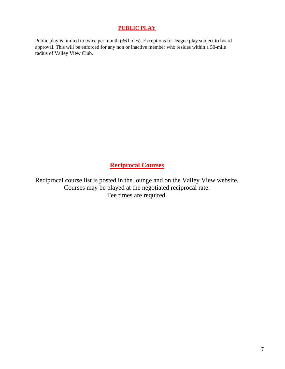#### **PUBLIC PLAY**

Public play is limited to twice per month (36 holes). Exceptions for league play subject to board approval. This will be enforced for any non or inactive member who resides within a 50-mile radius of Valley View Club.

**Reciprocal Courses**

Reciprocal course list is posted in the lounge and on the Valley View website. Courses may be played at the negotiated reciprocal rate. Tee times are required.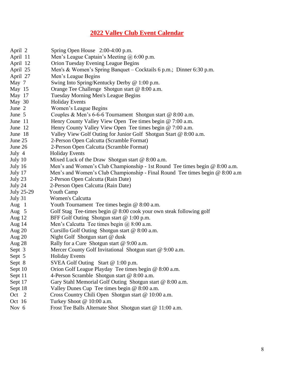## **2022 Valley Club Event Calendar**

| April 2    | Spring Open House 2:00-4:00 p.m.                                             |
|------------|------------------------------------------------------------------------------|
| April 11   | Men's League Captain's Meeting @ 6:00 p.m.                                   |
| April 12   | Orion Tuesday Evening League Begins                                          |
| April 25   | Men's & Women's Spring Banquet – Cocktails 6 p.m.; Dinner 6:30 p.m.          |
| April 27   | Men's League Begins                                                          |
| May 7      | Swing Into Spring/Kentucky Derby @ 1:00 p.m.                                 |
| May 15     | Orange Tee Challenge Shotgun start @ 8:00 a.m.                               |
| May 17     | Tuesday Morning Men's League Begins                                          |
| May 30     | <b>Holiday Events</b>                                                        |
| June 2     | Women's League Begins                                                        |
| June 5     | Couples & Men's 6-6-6 Tournament Shotgun start @ 8:00 a.m.                   |
| June 11    | Henry County Valley View Open Tee times begin @ 7:00 a.m.                    |
| June 12    | Henry County Valley View Open Tee times begin @ 7:00 a.m.                    |
| June 18    | Valley View Golf Outing for Junior Golf Shotgun Start @ 8:00 a.m.            |
| June 25    | 2-Person Open Calcutta (Scramble Format)                                     |
| June 26    | 2-Person Open Calcutta (Scramble Format)                                     |
| July 4     | <b>Holiday Events</b>                                                        |
| July 10    | Mixed Luck of the Draw Shotgun start $@ 8:00 a.m.$                           |
| July 16    | Men's and Women's Club Championship - 1st Round Tee times begin @ 8:00 a.m.  |
| July 17    | Men's and Women's Club Championship - Final Round Tee times begin @ 8:00 a.m |
| July 23    | 2-Person Open Calcutta (Rain Date)                                           |
| July 24    | 2-Person Open Calcutta (Rain Date)                                           |
| July 25-29 | <b>Youth Camp</b>                                                            |
| July 31    | <b>Women's Calcutta</b>                                                      |
| Aug $1$    | Youth Tournament Tee times begin @ 8:00 a.m.                                 |
| Aug $5$    | Golf Stag Tee-times begin @ 8:00 cook your own steak following golf          |
| Aug 12     | BFF Golf Outing Shotgun start @ 1:00 p.m.                                    |
| Aug $14$   | Men's Calcutta Tee times begin $@8:00$ a.m.                                  |
| Aug $20$   | Cursillo Golf Outing Shotgun start @ 8:00 a.m.                               |
| Aug $20$   | Night Golf Shotgun start @ dusk                                              |
| Aug 28     | Rally for a Cure Shotgun start $@9:00$ a.m.                                  |
| Sept 3     | Mercer County Golf Invitational Shotgun start @ 9:00 a.m.                    |
| Sept 5     | <b>Holiday Events</b>                                                        |
| Sept 8     | SVEA Golf Outing Start @ 1:00 p.m.                                           |
| Sept 10    | Orion Golf League Playday Tee times begin @ 8:00 a.m.                        |
| Sept 11    | 4-Person Scramble Shotgun start @ 8:00 a.m.                                  |
| Sept 17    | Gary Stahl Memorial Golf Outing Shotgun start @ 8:00 a.m.                    |
| Sept 18    | Valley Dunes Cup Tee times begin $@ 8:00 a.m.$                               |
| Oct 2      | Cross Country Chili Open Shotgun start @ 10:00 a.m.                          |
| Oct 16     | Turkey Shoot @ 10:00 a.m.                                                    |
|            |                                                                              |

Nov 6 Frost Tee Balls Alternate Shot Shotgun start @ 11:00 a.m.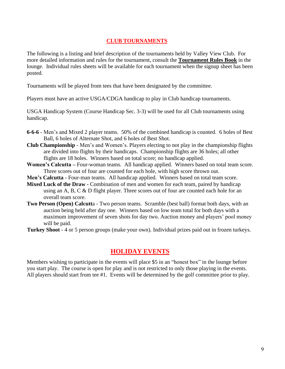#### **CLUB TOURNAMENTS**

The following is a listing and brief description of the tournaments held by Valley View Club. For more detailed information and rules for the tournament, consult the **Tournament Rules Book** in the lounge. Individual rules sheets will be available for each tournament when the signup sheet has been posted.

Tournaments will be played from tees that have been designated by the committee.

Players must have an active USGA/CDGA handicap to play in Club handicap tournaments.

USGA Handicap System (Course Handicap Sec. 3-3) will be used for all Club tournaments using handicap.

- **6-6-6** Men's and Mixed 2 player teams. 50% of the combined handicap is counted. 6 holes of Best Ball, 6 holes of Alternate Shot, and 6 holes of Best Shot.
- **Club Championship** Men's and Women's. Players electing to not play in the championship flights are divided into flights by their handicaps. Championship flights are 36 holes; all other flights are 18 holes. Winners based on total score; no handicap applied.
- **Women's Calcutta –** Four-woman teams. All handicap applied. Winners based on total team score. Three scores out of four are counted for each hole, with high score thrown out.
- **Men's Calcutta -** Four-man teams. All handicap applied. Winners based on total team score.
- **Mixed Luck of the Draw -** Combination of men and women for each team, paired by handicap using an A, B, C & D flight player. Three scores out of four are counted each hole for an overall team score.
- **Two Person (Open) Calcutt**a Two person teams. Scramble (best ball) format both days, with an auction being held after day one. Winners based on low team total for both days with a maximum improvement of seven shots for day two. Auction money and players' pool money will be paid.
- **Turkey Shoot**  4 or 5 person groups (make your own). Individual prizes paid out in frozen turkeys.

#### **HOLIDAY EVENTS**

Members wishing to participate in the events will place \$5 in an "honest box" in the lounge before you start play. The course is open for play and is not restricted to only those playing in the events. All players should start from tee #1. Events will be determined by the golf committee prior to play.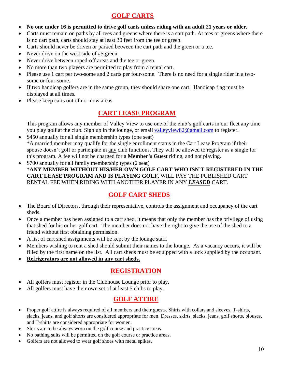## **GOLF CARTS**

- **No one under 16 is permitted to drive golf carts unless riding with an adult 21 years or older.**
- Carts must remain on paths by all tees and greens where there is a cart path. At tees or greens where there is no cart path, carts should stay at least 30 feet from the tee or green.
- Carts should never be driven or parked between the cart path and the green or a tee.
- Never drive on the west side of #5 green.
- Never drive between roped-off areas and the tee or green.
- No more than two players are permitted to play from a rental cart.
- Please use 1 cart per two-some and 2 carts per four-some. There is no need for a single rider in a twosome or four-some.
- If two handicap golfers are in the same group, they should share one cart. Handicap flag must be displayed at all times.
- Please keep carts out of no-mow areas

#### **CART LEASE PROGRAM**

 This program allows any member of Valley View to use one of the club's golf carts in our fleet any time you play golf at the club. Sign up in the lounge, or email [valleyview82@gmail.com](mailto:valleyview82@gmail.com) to register.

- \$450 annually for all single membership types (one seat) \*A married member may qualify for the single enrollment status in the Cart Lease Program if their spouse doesn't golf or participate in any club functions. They will be allowed to register as a single for this program. A fee will not be charged for a **Member's Guest** riding, and not playing.
- \$700 annually for all family membership types (2 seat) \***ANY MEMBER WITHOUT HIS/HER OWN GOLF CART WHO ISN'T REGISTERED IN THE CART LEASE PROGRAM AND IS PLAYING GOLF,** WILL PAY THE PUBLISHED CART RENTAL FEE WHEN RIDING WITH ANOTHER PLAYER IN ANY *LEASED* CART.

## **GOLF CART SHEDS**

- The Board of Directors, through their representative, controls the assignment and occupancy of the cart sheds.
- Once a member has been assigned to a cart shed, it means that only the member has the privilege of using that shed for his or her golf cart. The member does not have the right to give the use of the shed to a friend without first obtaining permission.
- A list of cart shed assignments will be kept by the lounge staff.
- Members wishing to rent a shed should submit their names to the lounge. As a vacancy occurs, it will be filled by the first name on the list. All cart sheds must be equipped with a lock supplied by the occupant.
- **Refrigerators are not allowed in any cart sheds.**

## **REGISTRATION**

- All golfers must register in the Clubhouse Lounge prior to play.
- All golfers must have their own set of at least 5 clubs to play.

## **GOLF ATTIRE**

- Proper golf attire is always required of all members and their guests. Shirts with collars and sleeves, T-shirts, slacks, jeans, and golf shorts are considered appropriate for men. Dresses, skirts, slacks, jeans, golf shorts, blouses, and T-shirts are considered appropriate for women.
- Shirts are to be always worn on the golf course and practice areas.
- No bathing suits will be permitted on the golf course or practice areas.
- Golfers are not allowed to wear golf shoes with metal spikes.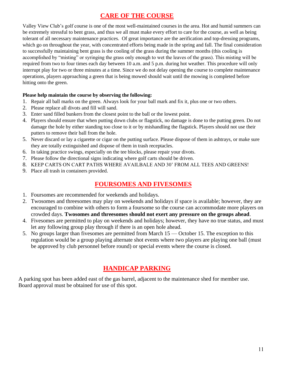## **CARE OF THE COURSE**

Valley View Club's golf course is one of the most well-maintained courses in the area. Hot and humid summers can be extremely stressful to bent grass, and thus we all must make every effort to care for the course, as well as being tolerant of all necessary maintenance practices. Of great importance are the aerification and top-dressing programs, which go on throughout the year, with concentrated efforts being made in the spring and fall. The final consideration to successfully maintaining bent grass is the cooling of the grass during the summer months (this cooling is accomplished by "misting" or syringing the grass only enough to wet the leaves of the grass). This misting will be required from two to four times each day between 10 a.m. and 5 p.m. during hot weather. This procedure will only interrupt play for two or three minutes at a time. Since we do not delay opening the course to complete maintenance operations, players approaching a green that is being mowed should wait until the mowing is completed before hitting onto the green.

#### **Please help maintain the course by observing the following:**

- 1. Repair all ball marks on the green. Always look for your ball mark and fix it, plus one or two others.
- 2. Please replace all divots and fill will sand.
- 3. Enter sand filled bunkers from the closest point to the ball or the lowest point.
- 4. Players should ensure that when putting down clubs or flagstick, no damage is done to the putting green. Do not damage the hole by either standing too close to it or by mishandling the flagstick. Players should not use their putters to remove their ball from the hole.
- 5. Never discard or lay a cigarette or cigar on the putting surface. Please dispose of them in ashtrays, or make sure they are totally extinguished and dispose of them in trash receptacles.
- 6. In taking practice swings, especially on the tee blocks, please repair your divots.
- 7. Please follow the directional signs indicating where golf carts should be driven.
- 8. KEEP CARTS ON CART PATHS WHERE AVAILBALE AND 30' FROM ALL TEES AND GREENS!
- 9. Place all trash in containers provided.

#### **FOURSOMES AND FIVESOMES**

- 1. Foursomes are recommended for weekends and holidays.
- 2. Twosomes and threesomes may play on weekends and holidays if space is available; however, they are encouraged to combine with others to form a foursome so the course can accommodate more players on crowded days. **Twosomes and threesomes should not exert any pressure on the groups ahead**.
- 4. Fivesomes are permitted to play on weekends and holidays; however, they have no true status, and must let any following group play through if there is an open hole ahead.
- 5. No groups larger than fivesomes are permitted from March 15 October 15. The exception to this regulation would be a group playing alternate shot events where two players are playing one ball (must be approved by club personnel before round) or special events where the course is closed.

## **HANDICAP PARKING**

A parking spot has been added east of the gas barrel, adjacent to the maintenance shed for member use. Board approval must be obtained for use of this spot.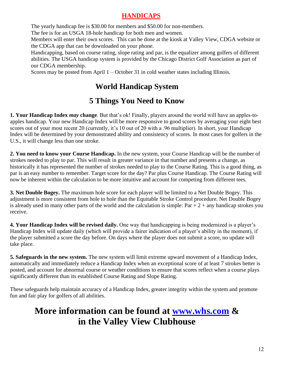## **HANDICAPS**

The yearly handicap fee is \$30.00 for members and \$50.00 for non-members.

The fee is for an USGA 18-hole handicap for both men and women.

Members will enter their own scores. This can be done at the kiosk at Valley View, CDGA website or the CDGA app that can be downloaded on your phone.

Handicapping, based on course rating, slope rating and par, is the equalizer among golfers of different abilities. The USGA handicap system is provided by the Chicago District Golf Association as part of our CDGA membership.

Scores may be posted from April 1 – October 31 in cold weather states including Illinois.

## **World Handicap System**

## **5 Things You Need to Know**

**1. Your Handicap Index** *may* **change**. But that's ok! Finally, players around the world will have an apples-toapples handicap. Your new Handicap Index will be more responsive to good scores by averaging your eight best scores out of your most recent 20 (currently, it's 10 out of 20 with a .96 multiplier). In short, your Handicap Index will be determined by your demonstrated ability and consistency of scores. In most cases for golfers in the U.S., it will change less than one stroke.

**2. You need to know your Course Handicap.** In the new system, your Course Handicap will be the number of strokes needed to play to par. This will result in greater variance in that number and presents a change, as historically it has represented the number of strokes needed to play to the Course Rating. This is a good thing, as par is an easy number to remember. Target score for the day? Par plus Course Handicap. The Course Rating will now be inherent within the calculation to be more intuitive and account for competing from different tees.

**3. Net Double Bogey.** The maximum hole score for each player will be limited to a Net Double Bogey. This adjustment is more consistent from hole to hole than the Equitable Stroke Control procedure. Net Double Bogey is already used in many other parts of the world and the calculation is simple:  $Par + 2 + any$  handicap strokes you receive.

**4. Your Handicap Index will be revised daily.** One way that handicapping is being modernized is a player's Handicap Index will update daily (which will provide a fairer indication of a player's ability in the moment), if the player submitted a score the day before. On days where the player does not submit a score, no update will take place.

**5. Safeguards in the new system.** The new system will limit extreme upward movement of a Handicap Index, automatically and immediately reduce a Handicap Index when an exceptional score of at least 7 strokes better is posted, and account for abnormal course or weather conditions to ensure that scores reflect when a course plays significantly different than its established Course Rating and Slope Rating.

These safeguards help maintain accuracy of a Handicap Index, greater integrity within the system and promote fun and fair play for golfers of all abilities.

## **More information can be found at [www.whs.com](http://www.whs.com/) & in the Valley View Clubhouse**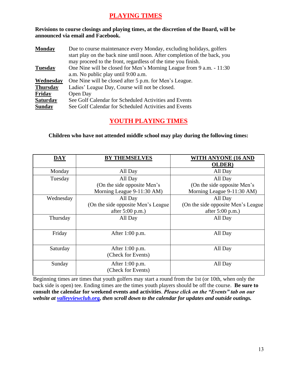#### **PLAYING TIMES**

**Revisions to course closings and playing times, at the discretion of the Board, will be announced via email and Facebook.**

| <b>Monday</b>   | Due to course maintenance every Monday, excluding holidays, golfers       |
|-----------------|---------------------------------------------------------------------------|
|                 | start play on the back nine until noon. After completion of the back, you |
|                 | may proceed to the front, regardless of the time you finish.              |
| <b>Tuesday</b>  | One Nine will be closed for Men's Morning League from 9 a.m. - 11:30      |
|                 | a.m. No public play until 9:00 a.m.                                       |
| Wednesday       | One Nine will be closed after 5 p.m. for Men's League.                    |
| <b>Thursday</b> | Ladies' League Day, Course will not be closed.                            |
| Friday          | Open Day                                                                  |
| <b>Saturday</b> | See Golf Calendar for Scheduled Activities and Events                     |
| <b>Sunday</b>   | See Golf Calendar for Scheduled Activities and Events                     |

#### **YOUTH PLAYING TIMES**

#### **Children who have not attended middle school may play during the following times:**

| $\overline{\textbf{DAY}}$ | <b>BY THEMSELVES</b>                | <b>WITH ANYONE (16 AND</b>          |
|---------------------------|-------------------------------------|-------------------------------------|
|                           |                                     | <b>OLDER</b> )                      |
| Monday                    | All Day                             | All Day                             |
| Tuesday                   | All Day                             | All Day                             |
|                           | (On the side opposite Men's         | (On the side opposite Men's         |
|                           | Morning League 9-11:30 AM)          | Morning League 9-11:30 AM)          |
| Wednesday                 | All Day                             | All Day                             |
|                           | (On the side opposite Men's League) | (On the side opposite Men's League) |
|                           | after 5:00 p.m.)                    | after $5:00$ p.m.)                  |
| Thursday                  | All Day                             | All Day                             |
|                           |                                     |                                     |
| Friday                    | After $1:00$ p.m.                   | All Day                             |
|                           |                                     |                                     |
| Saturday                  | After 1:00 p.m.                     | All Day                             |
|                           | (Check for Events)                  |                                     |
| Sunday                    | After 1:00 p.m.                     | All Day                             |
|                           | (Check for Events)                  |                                     |

Beginning times are times that youth golfers may start a round from the 1st (or 10th, when only the back side is open) tee. Ending times are the times youth players should be off the course. **Be sure to consult the calendar for weekend events and activities**. *Please click on the "Events" tab on our website at valleyviewclub.org, then scroll down to the calendar for updates and outside outings.*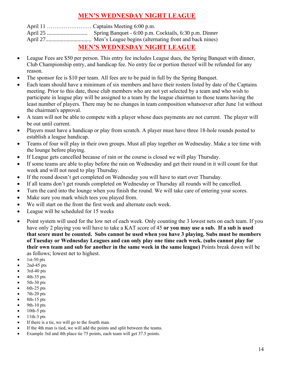#### **MEN'S WEDNESDAY NIGHT LEAGUE**

| <b>MEN'S WEDNESDAY NIGHT LEAGUE</b> |
|-------------------------------------|

- League Fees are \$50 per person. This entry fee includes League dues, the Spring Banquet with dinner, Club Championship entry, and handicap fee. No entry fee or portion thereof will be refunded for any reason.
- The sponsor fee is \$10 per team. All fees are to be paid in full by the Spring Banquet.
- Each team should have a minimum of six members and have their rosters listed by date of the Captains meeting. Prior to this date, those club members who are not yet selected by a team and who wish to participate in league play will be assigned to a team by the league chairman to those teams having the least number of players. There may be no changes in team composition whatsoever after June 1st without the chairman's approval.
- A team will not be able to compete with a player whose dues payments are not current. The player will be out until current.
- Players must have a handicap or play from scratch. A player must have three 18-hole rounds posted to establish a league handicap.
- Teams of four will play in their own groups. Must all play together on Wednesday. Make a tee time with the lounge before playing.
- If League gets cancelled because of rain or the course is closed we will play Thursday.
- If some teams are able to play before the rain on Wednesday and get their round in it will count for that week and will not need to play Thursday.
- If the round doesn't get completed on Wednesday you will have to start over Thursday.
- If all teams don't get rounds completed on Wednesday or Thursday all rounds will be cancelled.
- Turn the card into the lounge when you finish the round. We will take care of entering your scores.
- Make sure you mark which tees you played from.
- We will start on the front the first week and alternate each week.
- League will be scheduled for 15 weeks
- Point system will used for the low net of each week. Only counting the 3 lowest nets on each team. If you have only 2 playing you will have to take a KAT score of 45 **or you may use a sub. If a sub is used that score must be counted. Subs cannot be used when you have 3 playing. Subs must be members of Tuesday or Wednesday Leagues and can only play one time each week. (subs cannot play for their own team and sub for another in the same week in the same league)** Points break down will be as follows; lowest net to highest.
- $1st-50$  pts
- $2nd-45$  pts
- 3rd-40 pts
- $4th-35$  pts
- 5th-30 pts
- 6th-25 pts
- 7th-20 pts
- 8th-15 pts
- 9th-10 pts  $10th-5$  pts
- 11th-3 pts
- If there is a tie, we will go to the fourth man.
- If the 4th man is tied, we will add the points and split between the teams.
- Example 3rd and 4th place tie 75 points, each team will get 37.5 points.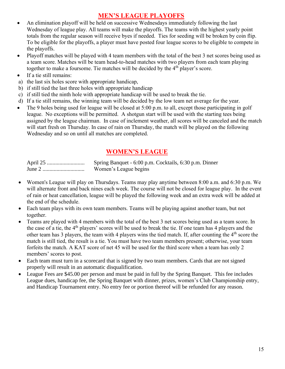#### **MEN'S LEAGUE PLAYOFFS**

- An elimination playoff will be held on successive Wednesdays immediately following the last Wednesday of league play. All teams will make the playoffs. The teams with the highest yearly point totals from the regular season will receive byes if needed. Ties for seeding will be broken by coin flip. To be eligible for the playoffs, a player must have posted four league scores to be eligible to compete in the playoffs.
- Playoff matches will be played with 4 team members with the total of the best 3 net scores being used as a team score. Matches will be team head-to-head matches with two players from each team playing together to make a foursome. Tie matches will be decided by the 4<sup>th</sup> player's score.
- If a tie still remains:
- a) the last six holes score with appropriate handicap,
- b) if still tied the last three holes with appropriate handicap
- c) if still tied the ninth hole with appropriate handicap will be used to break the tie.
- d) If a tie still remains, the winning team will be decided by the low team net average for the year.
- The 9 holes being used for league will be closed at 5:00 p.m. to all, except those participating in golf league. No exceptions will be permitted. A shotgun start will be used with the starting tees being assigned by the league chairman. In case of inclement weather, all scores will be canceled and the match will start fresh on Thursday. In case of rain on Thursday, the match will be played on the following Wednesday and so on until all matches are completed.

#### **WOMEN'S LEAGUE**

| Spring Banquet - 6:00 p.m. Cocktails, 6:30 p.m. Dinner |  |  |
|--------------------------------------------------------|--|--|
| Women's League begins                                  |  |  |

- Women's League will play on Thursdays. Teams may play anytime between 8:00 a.m. and 6:30 p.m. We will alternate front and back nines each week. The course will not be closed for league play. In the event of rain or heat cancellation, league will be played the following week and an extra week will be added at the end of the schedule.
- Each team plays with its own team members. Teams will be playing against another team, but not together.
- Teams are played with 4 members with the total of the best 3 net scores being used as a team score. In the case of a tie, the 4<sup>th</sup> players' scores will be used to break the tie. If one team has 4 players and the other team has 3 players, the team with 4 players wins the tied match. If, after counting the  $4<sup>th</sup>$  score the match is still tied, the result is a tie. You must have two team members present; otherwise, your team forfeits the match. A KAT score of net 45 will be used for the third score when a team has only 2 members' scores to post.
- Each team must turn in a scorecard that is signed by two team members. Cards that are not signed properly will result in an automatic disqualification.
- League Fees are \$45.00 per person and must be paid in full by the Spring Banquet. This fee includes League dues, handicap fee, the Spring Banquet with dinner, prizes, women's Club Championship entry, and Handicap Tournament entry. No entry fee or portion thereof will be refunded for any reason.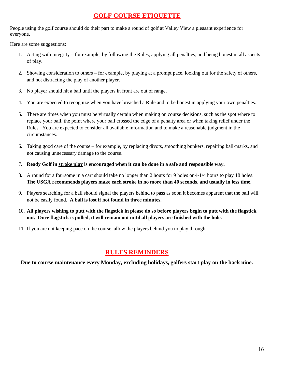#### **GOLF COURSE ETIQUETTE**

People using the golf course should do their part to make a round of golf at Valley View a pleasant experience for everyone.

Here are some suggestions:

- 1. Acting with integrity for example, by following the Rules, applying all penalties, and being honest in all aspects of play.
- 2. Showing consideration to others for example, by playing at a prompt pace, looking out for the safety of others, and not distracting the play of another player.
- 3. No player should hit a ball until the players in front are out of range.
- 4. You are expected to recognize when you have breached a Rule and to be honest in applying your own penalties.
- 5. There are times when you must be virtually certain when making on course decisions, such as the spot where to replace your ball, the point where your ball crossed the edge of a penalty area or when taking relief under the Rules. You are expected to consider all available information and to make a reasonable judgment in the circumstances.
- 6. Taking good care of the course for example, by replacing divots, smoothing bunkers, repairing ball-marks, and not causing unnecessary damage to the course.
- 7. **Ready Golf in stroke play is encouraged when it can be done in a safe and responsible way.**
- 8. A round for a foursome in a cart should take no longer than 2 hours for 9 holes or 4-1/4 hours to play 18 holes. **The USGA recommends players make each stroke in no more than 40 seconds, and usually in less time.**
- 9. Players searching for a ball should signal the players behind to pass as soon it becomes apparent that the ball will not be easily found. **A ball is lost if not found in three minutes.**
- 10. **All players wishing to putt with the flagstick in please do so before players begin to putt with the flagstick out. Once flagstick is pulled, it will remain out until all players are finished with the hole.**
- 11. If you are not keeping pace on the course, allow the players behind you to play through.

#### **RULES REMINDERS**

**Due to course maintenance every Monday, excluding holidays, golfers start play on the back nine.**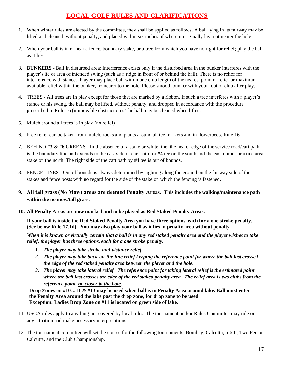## **LOCAL GOLF RULES AND CLARIFICATIONS**

- 1. When winter rules are elected by the committee, they shall be applied as follows. A ball lying in its fairway may be lifted and cleaned, without penalty, and placed within six inches of where it originally lay, not nearer the hole.
- 2. When your ball is in or near a fence, boundary stake, or a tree from which you have no right for relief; play the ball as it lies.
- 3. **BUNKERS** Ball in disturbed area: Interference exists only if the disturbed area in the bunker interferes with the player's lie or area of intended swing (such as a ridge in front of or behind the ball). There is no relief for interference with stance. Player may place ball within one club length of the nearest point of relief or maximum available relief within the bunker, no nearer to the hole. Please smooth bunker with your foot or club after play.
- 4. TREES All trees are in play except for those that are marked by a ribbon. If such a tree interferes with a player's stance or his swing, the ball may be lifted, without penalty, and dropped in accordance with the procedure prescribed in Rule 16 (immovable obstruction). The ball may be cleaned when lifted.
- 5. Mulch around all trees is in play (no relief)
- 6. Free relief can be taken from mulch, rocks and plants around all tee markers and in flowerbeds. Rule 16
- 7. BEHIND **#3 & #6** GREENS In the absence of a stake or white line, the nearer edge of the service road/cart path is the boundary line and extends to the east side of cart path for **#4** tee on the south and the east corner practice area stake on the north. The right side of the cart path by **#4** tee is out of bounds.
- 8. FENCE LINES Out of bounds is always determined by sighting along the ground on the fairway side of the stakes and fence posts with no regard for the side of the stake on which the fencing is fastened.
- **9. All tall grass (No Mow) areas are deemed Penalty Areas. This includes the walking/maintenance path within the no mow/tall grass.**
- **10. All Penalty Areas are now marked and to be played as Red Staked Penalty Areas.**

**If your ball is inside the Red Staked Penalty Area you have three options, each for a one stroke penalty. (See below Rule 17.1d) You may also play your ball as it lies in penalty area without penalty.**

*When it is known or virtually certain that a ball is in any red staked penalty area and the player wishes to take relief, the player has three options, each for a one stroke penalty.*

- *1. The player may take stroke-and-distance relief.*
- *2. The player may take back-on-the-line relief keeping the reference point for where the ball last crossed the edge of the red staked penalty area between the player and the hole.*
- *3. The player may take lateral relief. The reference point for taking lateral relief is the estimated point where the ball last crosses the edge of the red staked penalty area. The relief area is two clubs from the reference point, no closer to the hole.*

 **Drop Zones on #10, #11 & #13 may be used when ball is in Penalty Area around lake. Ball must enter the Penalty Area around the lake past the drop zone, for drop zone to be used. Exception: Ladies Drop Zone on #11 is located on green side of lake.**

- 11. USGA rules apply to anything not covered by local rules. The tournament and/or Rules Committee may rule on any situation and make necessary interpretations.
- 12. The tournament committee will set the course for the following tournaments: Bombay, Calcutta, 6-6-6, Two Person Calcutta, and the Club Championship.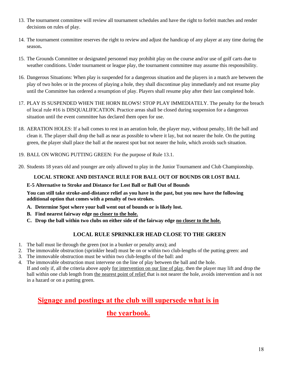- 13. The tournament committee will review all tournament schedules and have the right to forfeit matches and render decisions on rules of play.
- 14. The tournament committee reserves the right to review and adjust the handicap of any player at any time during the season**.**
- 15. The Grounds Committee or designated personnel may prohibit play on the course and/or use of golf carts due to weather conditions. Under tournament or league play, the tournament committee may assume this responsibility.
- 16. Dangerous Situations: When play is suspended for a dangerous situation and the players in a match are between the play of two holes or in the process of playing a hole, they shall discontinue play immediately and not resume play until the Committee has ordered a resumption of play. Players shall resume play after their last completed hole.
- 17. PLAY IS SUSPENDED WHEN THE HORN BLOWS! STOP PLAY IMMEDIATELY. The penalty for the breach of local rule #16 is DISQUALIFICATION. Practice areas shall be closed during suspension for a dangerous situation until the event committee has declared them open for use.
- 18. AERATION HOLES: If a ball comes to rest in an aeration hole, the player may, without penalty, lift the ball and clean it. The player shall drop the ball as near as possible to where it lay, but not nearer the hole. On the putting green, the player shall place the ball at the nearest spot but not nearer the hole, which avoids such situation.
- 19. BALL ON WRONG PUTTING GREEN: For the purpose of Rule 13.1.
- 20. Students 18 years old and younger are only allowed to play in the Junior Tournament and Club Championship.

#### **LOCAL STROKE AND DISTANCE RULE FOR BALL OUT OF BOUNDS OR LOST BALL**

#### **E-5 Alternative to Stroke and Distance for Lost Ball or Ball Out of Bounds**

**You can still take stroke-and-distance relief as you have in the past, but you now have the following additional option that comes with a penalty of two strokes.**

- **A. Determine Spot where your ball went out of bounds or is likely lost.**
- **B. Find nearest fairway edge no closer to the hole.**
- **C. Drop the ball within two clubs on either side of the fairway edge no closer to the hole.**

#### **LOCAL RULE SPRINKLER HEAD CLOSE TO THE GREEN**

- 1. The ball must lie through the green (not in a bunker or penalty area); and
- 2. The immovable obstruction (sprinkler head) must be on or within two club-lengths of the putting green: and
- 3. The immovable obstruction must be within two club-lengths of the ball: and
- 4. The immovable obstruction must intervene on the line of play between the ball and the hole. If and only if, all the criteria above apply for intervention on our line of play, then the player may lift and drop the ball within one club length from the nearest point of relief that is not nearer the hole, avoids intervention and is not in a hazard or on a putting green.

## **Signage and postings at the club will supersede what is in**

## **the yearbook.**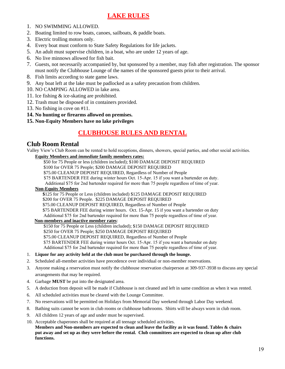#### **LAKE RULES**

- 1. NO SWIMMING ALLOWED.
- 2. Boating limited to row boats, canoes, sailboats, & paddle boats.
- 3. Electric trolling motors only.
- 4. Every boat must conform to State Safety Regulations for life jackets.
- 5. An adult must supervise children, in a boat, who are under 12 years of age.
- 6. No live minnows allowed for fish bait.
- 7. Guests, not necessarily accompanied by, but sponsored by a member, may fish after registration. The sponsor must notify the Clubhouse Lounge of the names of the sponsored guests prior to their arrival.
- 8. Fish limits according to state game laws.
- 9. Any boat left at the lake must be padlocked as a safety precaution from children.
- 10. NO CAMPING ALLOWED in lake area.
- 11. Ice fishing & ice-skating are prohibited.
- 12. Trash must be disposed of in containers provided.
- 13. No fishing in cove on #11.
- **14. No hunting or firearms allowed on premises.**
- **15. Non-Equity Members have no lake privileges**

#### **CLUBHOUSE RULES AND RENTAL**

#### **Club Room Rental**

Valley View's Club Room can be rented to hold receptions, dinners, showers, special parties, and other social activities.

#### **Equity Members and** *immediate* **family members rates:**

\$50 for 75 People or less (children included); \$100 DAMAGE DEPOSIT REQUIRED

\$100 for OVER 75 People; \$200 DAMAGE DEPOSIT REQUIRED

\$75.00 CLEANUP DEPOSIT REQUIRED, Regardless of Number of People

\$75 BARTENDER FEE during winter hours Oct. 15-Apr. 15 if you want a bartender on duty.

Additional \$75 for 2nd bartender required for more than 75 people regardless of time of year.

#### **Non-Equity Members**

 **\$**125 for 75 People or Less (children included) \$125 DAMAGE DEPOSIT REQUIRED

\$200 for OVER 75 People. \$225 DAMAGE DEPOSIT REQUIRED

\$75.00 CLEANUP DEPOSIT REQUIRED, Regardless of Number of People

\$75 BARTENDER FEE during winter hours. Oct. 15-Apr. 15 if you want a bartender on duty

Additional \$75 for 2nd bartender required for more than 75 people regardless of time of year.

#### **Non-members and inactive member rates**:

\$150 for 75 People or Less (children included); \$150 DAMAGE DEPOSIT REQUIRED

\$250 for OVER 75 People; \$250 DAMAGE DEPOSIT REQUIRED

\$75.00 CLEANUP DEPOSIT REQUIRED, Regardless of Number of People

\$75 BARTENDER FEE during winter hours Oct. 15-Apr. 15 if you want a bartender on duty

Additional \$75 for 2nd bartender required for more than 75 people regardless of time of year.

#### 1. **Liquor for any activity held at the club must be purchased through the lounge.**

- 2. Scheduled all-member activities have precedence over individual or non-member reservations.
- 3. Anyone making a reservation must notify the clubhouse reservation chairperson at 309-937-3938 to discuss any special arrangements that may be required.
- 4. Garbage **MUST** be put into the designated area.
- 5. A deduction from deposit will be made if Clubhouse is not cleaned and left in same condition as when it was rented.
- 6. All scheduled activities must be cleared with the Lounge Committee.
- 7. No reservations will be permitted on Holidays from Memorial Day weekend through Labor Day weekend.
- 8. Bathing suits cannot be worn in club rooms or clubhouse bathrooms. Shirts will be always worn in club room.
- 9. All children 12 years of age and under must be supervised.
- 10. Acceptable chaperones shall be required at all teenage scheduled activities.

**Members and Non-members are expected to clean and leave the facility as it was found. Tables & chairs put away and set up as they were before the rental. Club committees are expected to clean up after club functions.**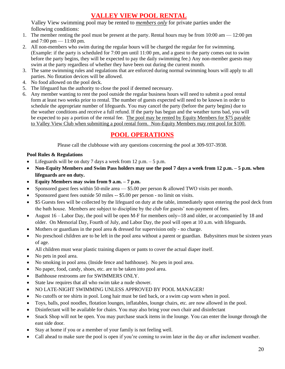### **VALLEY VIEW POOL RENTAL**

Valley View swimming pool may be rented to *members only* for private parties under the following conditions:

- 1. The member renting the pool must be present at the party. Rental hours may be from  $10:00 \text{ am} 12:00 \text{ pm}$ and 7:00 pm — 11:00 pm.
- 2. All non-members who swim during the regular hours will be charged the regular fee for swimming. (Example: if the party is scheduled for 7:00 pm until 11:00 pm, and a guest to the party comes out to swim before the party begins, they will be expected to pay the daily swimming fee.) Any non-member guests may swim at the party regardless of whether they have been out during the current month.
- 3. The same swimming rules and regulations that are enforced during normal swimming hours will apply to all parties. No flotation devices will be allowed.
- 4. No food allowed on the pool deck.
- 5. The lifeguard has the authority to close the pool if deemed necessary.
- 6. Any member wanting to rent the pool outside the regular business hours will need to submit a pool rental form at least two weeks prior to rental. The number of guests expected will need to be known in order to schedule the appropriate number of lifeguards. You may cancel the party (before the party begins) due to the weather conditions and receive a full refund. If the party has begun and the weather turns bad, you will be expected to pay a portion of the rental fee. The pool may be rented by Equity Members for \$75 payable to Valley View Club when submitting a pool rental form. Non-Equity Members may rent pool for \$100.

#### **POOL OPERATIONS**

Please call the clubhouse with any questions concerning the pool at 309-937-3938.

#### **Pool Rules & Regulations**

- Lifeguards will be on duty 7 days a week from  $12$  p.m.  $-5$  p.m.
- **Non-Equity Members and Swim Pass holders may use the pool 7 days a week from 12 p.m. – 5 p.m. when lifeguards are on duty.**
- **Equity Members may swim from 9 a.m. – 7 p.m.**
- Sponsored guest fees within 50-mile area \$5.00 per person & allowed TWO visits per month.
- Sponsored guest fees outside 50 miles -- \$5.00 per person no limit on visits.
- \$5 Guests fees will be collected by the lifeguard on duty at the table, immediately upon entering the pool deck from the bath house. Members are subject to discipline by the club for guests' non-payment of fees.
- August 16 Labor Day, the pool will be open M-F for members only--18 and older, or accompanied by 18 and older. On Memorial Day, Fourth of July, and Labor Day, the pool will open at 10 a.m. with lifeguards.
- Mothers or guardians in the pool area & dressed for supervision only no charge.
- No preschool children are to be left in the pool area without a parent or guardian. Babysitters must be sixteen years of age.
- All children must wear plastic training diapers or pants to cover the actual diaper itself.
- No pets in pool area.
- No smoking in pool area. (Inside fence and bathhouse). No pets in pool area.
- No paper, food, candy, shoes, etc. are to be taken into pool area.
- Bathhouse restrooms are for SWIMMERS ONLY.
- State law requires that all who swim take a nude shower.
- NO LATE-NIGHT SWIMMING UNLESS APPROVED BY POOL MANAGER!
- No cutoffs or tee shirts in pool. Long hair must be tied back, or a swim cap worn when in pool.
- Toys, balls, pool noodles, flotation lounges, inflatables, lounge chairs, etc. are now allowed in the pool.
- Disinfectant will be available for chairs. You may also bring your own chair and disinfectant
- Snack Shop will not be open. You may purchase snack items in the lounge. You can enter the lounge through the east side door.
- Stay at home if you or a member of your family is not feeling well.
- Call ahead to make sure the pool is open if you're coming to swim later in the day or after inclement weather.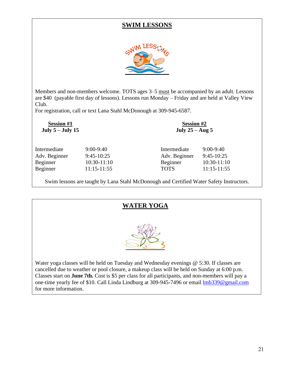#### **SWIM LESSONS**



Members and non-members welcome. TOTS ages 3–5 must be accompanied by an adult. Lessons are \$40 (payable first day of lessons). Lessons run Monday – Friday and are held at Valley View Club.

For registration, call or text Lana Stahl McDonough at 309-945-6587.

| $9:00-9:40$<br>Intermediate<br>$9:45-10:25$<br>Adv. Beginner<br>10:30-11:10<br>11:15-11:55 |
|--------------------------------------------------------------------------------------------|
|                                                                                            |

Swim lessons are taught by Lana Stahl McDonough and Certified Water Safety Instructors.

#### **WATER YOGA**



Water yoga classes will be held on Tuesday and Wednesday evenings @ 5:30. If classes are cancelled due to weather or pool closure, a makeup class will be held on Sunday at 6:00 p.m. Classes start on **June 7th.** Cost is \$5 per class for all participants, and non-members will pay a one-time yearly fee of \$10. Call Linda Lindburg at 309-945-7496 or email [lmb339@gmail.com](mailto:lmb339@gmail.com) for more information.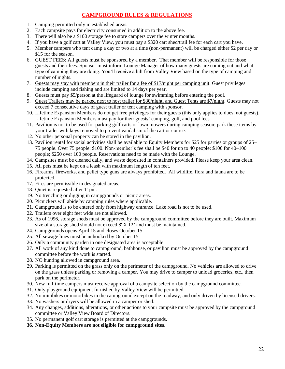#### **CAMPGROUND RULES & REGULATIONS**

- 1. Camping permitted only in established areas.
- 2. Each campsite pays for electricity consumed in addition to the above fee.
- 3. There will also be a \$100 storage fee to store campers over the winter months.
- 4. If you have a golf cart at Valley View, you must pay a \$320 cart shed/trail fee for each cart you have.
- 5. Member campers who tent camp a day or two at a time (non-permanent) will be charged either \$2 per day or \$15 for the season.
- 6. GUEST FEES: All guests must be sponsored by a member. That member will be responsible for those guests and their fees. Sponsor must inform Lounge Manager of how many guests are coming out and what type of camping they are doing. You'll receive a bill from Valley View based on the type of camping and number of nights.
- 7. Guests may stay with members in their trailer for a fee of \$17/night per camping unit. Guest privileges include camping and fishing and are limited to 14 days per year.
- 8. Guests must pay \$5/person at the lifeguard of lounge for swimming before entering the pool.
- 9. Guest Trailers may be parked next to host trailer for \$30/night, and Guest Tents are \$7/night. Guests may not exceed 7 consecutive days of guest trailer or tent camping with sponsor.
- 10. Lifetime Expansion Members do not get free privileges for their guests (this only applies to dues, not guests). Lifetime Expansion Members must pay for their guests' camping, golf, and pool fees.
- 11. Pavilion is not to be used for parking golf carts or lawn mowers during camping season; park these items by your trailer with keys removed to prevent vandalism of the cart or course.
- 12. No other personal property can be stored in the pavilion.
- 13. Pavilion rental for social activities shall be available to Equity Members for \$25 for parties or groups of 25– 75 people. Over 75 people: \$100. Non-member's fee shall be \$40 for up to 40 people; \$100 for 40–100 people; \$250 over 100 people. Reservations need to be made with the Lounge.
- 14. Campsites must be cleaned daily, and waste deposited in containers provided. Please keep your area clean.
- 15. All pets must be kept on a leash with maximum length of ten feet.
- 16. Firearms, fireworks, and pellet type guns are always prohibited. All wildlife, flora and fauna are to be protected.
- 17. Fires are permissible in designated areas.
- 18. Quiet is requested after 11pm.
- 19. No trenching or digging in campgrounds or picnic areas.
- 20. Picnickers will abide by camping rules where applicable.
- 21. Campground is to be entered only from highway entrance. Lake road is not to be used.
- 22. Trailers over eight feet wide are not allowed.
- 23. As of 1996, storage sheds must be approved by the campground committee before they are built. Maximum size of a storage shed should not exceed 8' X 12' and must be maintained.
- 24. Campgrounds opens April 15 and closes October 15.
- 25. All sewage lines must be unhooked by October 15.
- 26. Only a community garden in one designated area is acceptable.
- 27. All work of any kind done to campground, bathhouse, or pavilion must be approved by the campground committee before the work is started.
- 28. NO hunting allowed in campground area.
- 29. Parking is permitted on the grass only on the perimeter of the campground. No vehicles are allowed to drive on the grass unless parking or removing a camper. You may drive to camper to unload groceries, etc., then park on the perimeter.
- 30. New full-time campers must receive approval of a campsite selection by the campground committee.
- 31. Only playground equipment furnished by Valley View will be permitted.
- 32. No minibikes or motorbikes in the campground except on the roadway, and only driven by licensed drivers.
- 33. No washers or dryers will be allowed in a camper or shed.
- 34. Any changes, additions, alterations, or other actions to your campsite must be approved by the campground committee or Valley View Board of Directors.
- 35. No permanent golf cart storage is permitted at the campgrounds.
- **36. Non-Equity Members are not eligible for campground sites.**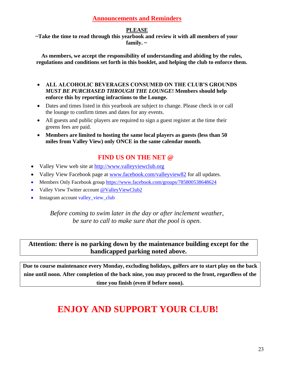#### **Announcements and Reminders**

#### **PLEASE**

**~Take the time to read through this yearbook and review it with all members of your family. ~**

**As members, we accept the responsibility of understanding and abiding by the rules, regulations and conditions set forth in this booklet, and helping the club to enforce them.**

- **ALL ALCOHOLIC BEVERAGES CONSUMED ON THE CLUB'S GROUNDS**  *MUST BE PURCHASED THROUGH THE LOUNGE***! Members should help enforce this by reporting infractions to the Lounge.**
- Dates and times listed in this yearbook are subject to change. Please check in or call the lounge to confirm times and dates for any events.
- All guests and public players are required to sign a guest register at the time their greens fees are paid.
- **Members are limited to hosting the same local players as guests (less than 50 miles from Valley View) only ONCE in the same calendar month.**

## **FIND US ON THE NET @**

- Valley View web site at [http://www.valleyviewclub.org](http://www.valleyviewclub.org/)
- Valley View Facebook page at [www.facebook.com/valleyview82](http://www.facebook.com/valleyview82) for all updates.
- Members Only Facebook group <https://www.facebook.com/groups/785800538648624>
- Valley View Twitter account @ValleyViewClub2
- Instagram account valley\_view\_club

*Before coming to swim later in the day or after inclement weather, be sure to call to make sure that the pool is open.*

#### **Attention: there is no parking down by the maintenance building except for the handicapped parking noted above.**

**Due to course maintenance every Monday, excluding holidays, golfers are to start play on the back nine until noon. After completion of the back nine, you may proceed to the front, regardless of the time you finish (even if before noon).**

# **ENJOY AND SUPPORT YOUR CLUB!**